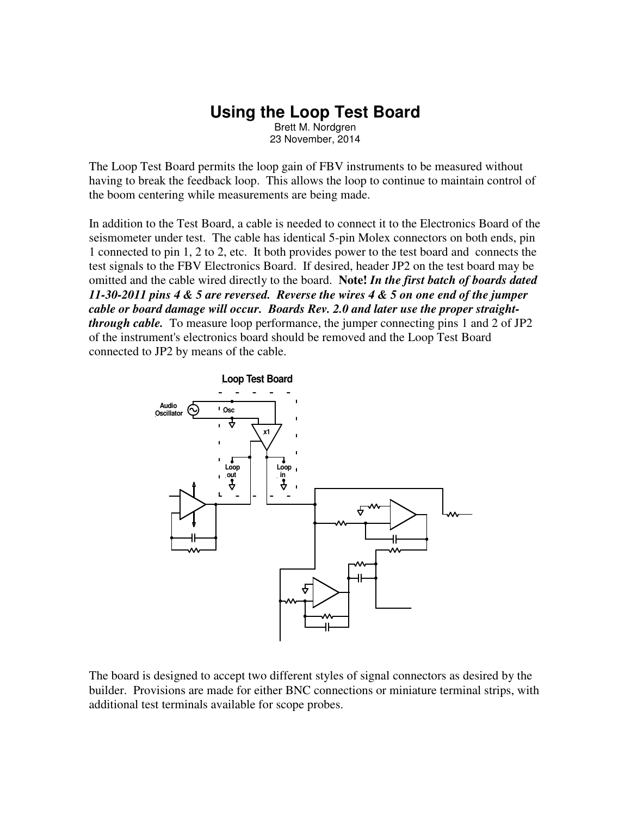# **Using the Loop Test Board**

Brett M. Nordgren 23 November, 2014

The Loop Test Board permits the loop gain of FBV instruments to be measured without having to break the feedback loop. This allows the loop to continue to maintain control of the boom centering while measurements are being made.

In addition to the Test Board, a cable is needed to connect it to the Electronics Board of the seismometer under test. The cable has identical 5-pin Molex connectors on both ends, pin 1 connected to pin 1, 2 to 2, etc. It both provides power to the test board and connects the test signals to the FBV Electronics Board. If desired, header JP2 on the test board may be omitted and the cable wired directly to the board. **Note!** *In the first batch of boards dated 11-30-2011 pins 4 & 5 are reversed. Reverse the wires 4 & 5 on one end of the jumper cable or board damage will occur. Boards Rev. 2.0 and later use the proper straightthrough cable.* To measure loop performance, the jumper connecting pins 1 and 2 of JP2 of the instrument's electronics board should be removed and the Loop Test Board connected to JP2 by means of the cable.



The board is designed to accept two different styles of signal connectors as desired by the builder. Provisions are made for either BNC connections or miniature terminal strips, with additional test terminals available for scope probes.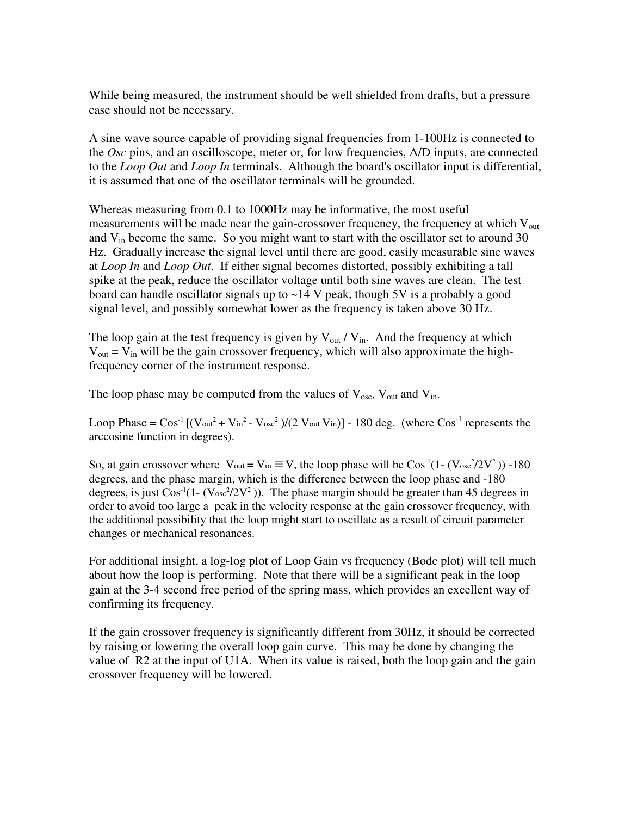While being measured, the instrument should be well shielded from drafts, but a pressure case should not be necessary.

A sine wave source capable of providing signal frequencies from 1-100Hz is connected to the *Osc* pins, and an oscilloscope, meter or, for low frequencies, A/D inputs, are connected to the *Loop Out* and *Loop In* terminals. Although the board's oscillator input is differential, it is assumed that one of the oscillator terminals will be grounded.

Whereas measuring from 0.1 to 1000Hz may be informative, the most useful measurements will be made near the gain-crossover frequency, the frequency at which  $V_{\text{out}}$ and  $V_{in}$  become the same. So you might want to start with the oscillator set to around 30 Hz. Gradually increase the signal level until there are good, easily measurable sine waves at *Loop In* and *Loop Out*. If either signal becomes distorted, possibly exhibiting a tall spike at the peak, reduce the oscillator voltage until both sine waves are clean. The test board can handle oscillator signals up to ~14 V peak, though 5V is a probably a good signal level, and possibly somewhat lower as the frequency is taken above 30 Hz.

The loop gain at the test frequency is given by  $V_{out} / V_{in}$ . And the frequency at which  $V_{\text{out}} = V_{\text{in}}$  will be the gain crossover frequency, which will also approximate the highfrequency corner of the instrument response.

The loop phase may be computed from the values of  $V_{osc}$ ,  $V_{out}$  and  $V_{in}$ .

Loop Phase =  $\cos^{-1}$  [(Vout<sup>2</sup> + Vin<sup>2</sup> - Vosc<sup>2</sup>)/(2 Vout Vin)] - 180 deg. (where  $\cos^{-1}$  represents the arccosine function in degrees).

So, at gain crossover where  $V_{\text{out}} = V_{\text{in}} \equiv V$ , the loop phase will be  $\text{Cos}^{-1}(1 - (V_{\text{osc}}^2/2V^2)) - 180$ degrees, and the phase margin, which is the difference between the loop phase and -180 degrees, is just  $\cos^{-1}(1 - (\text{V}_{\text{osc}}^2/2V^2))$ . The phase margin should be greater than 45 degrees in order to avoid too large a peak in the velocity response at the gain crossover frequency, with the additional possibility that the loop might start to oscillate as a result of circuit parameter changes or mechanical resonances.

For additional insight, a log-log plot of Loop Gain vs frequency (Bode plot) will tell much about how the loop is performing. Note that there will be a significant peak in the loop gain at the 3-4 second free period of the spring mass, which provides an excellent way of confirming its frequency.

If the gain crossover frequency is significantly different from 30Hz, it should be corrected by raising or lowering the overall loop gain curve. This may be done by changing the value of R2 at the input of U1A. When its value is raised, both the loop gain and the gain crossover frequency will be lowered.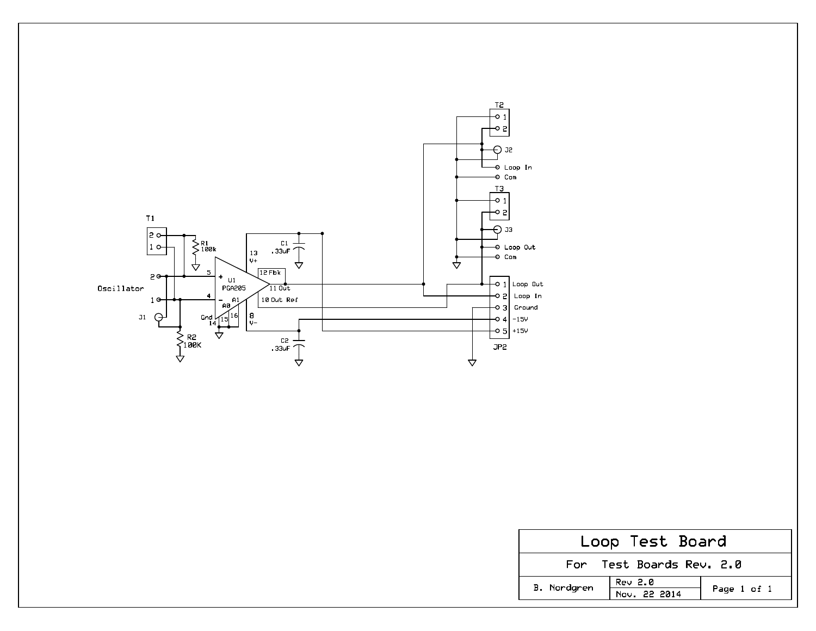

| Loop Test Board          |                         |             |  |  |  |  |  |  |  |
|--------------------------|-------------------------|-------------|--|--|--|--|--|--|--|
| For Test Boards Rev. 2.0 |                         |             |  |  |  |  |  |  |  |
| B. Nordgren              | Rev 2.0<br>Nov. 22 2014 | Page 1 of 1 |  |  |  |  |  |  |  |
|                          |                         |             |  |  |  |  |  |  |  |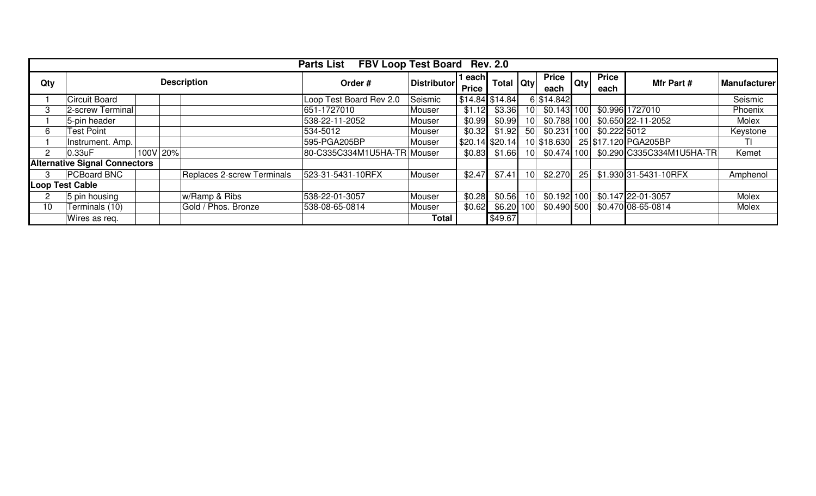| FBV Loop Test Board Rev. 2.0<br><b>Parts List</b> |                                      |          |  |                                   |                             |                        |           |                   |                      |                |                      |               |                           |          |
|---------------------------------------------------|--------------------------------------|----------|--|-----------------------------------|-----------------------------|------------------------|-----------|-------------------|----------------------|----------------|----------------------|---------------|---------------------------|----------|
| Qty                                               | <b>Description</b>                   |          |  | Order#                            | <b>Distributor</b>          | l each<br><b>Price</b> | Total Qty |                   | <b>Price</b><br>each | Qty            | <b>Price</b><br>each | Mfr Part #    | <b>Manufacturer</b>       |          |
|                                                   | Circuit Board                        |          |  |                                   | Loop Test Board Rev 2.0     | Seismic                |           | $$14.84$ $$14.84$ |                      | 6 \$14.842     |                      |               |                           | Seismic  |
|                                                   | 2-screw Terminal                     |          |  |                                   | 651-1727010                 | Mouser                 | \$1.12    | \$3.36            | 10 <sup>1</sup>      | $$0.143$ 100   |                      |               | \$0.996 1727010           | Phoenix  |
|                                                   | 5-pin header                         |          |  |                                   | 538-22-11-2052              | Mouser                 | \$0.99    | \$0.99            | 10 <sup>1</sup>      | \$0.788 100    |                      |               | \$0.650 22-11-2052        | Molex    |
| 6                                                 | <b>Test Point</b>                    |          |  |                                   | 534-5012                    | Mouser                 | \$0.32    | \$1.92            | 50 <sup>1</sup>      | $$0.231$   100 |                      | $$0.222$ 5012 |                           | Keystone |
|                                                   | Instrument. Amp.                     |          |  |                                   | 595-PGA205BP                | Mouser                 |           | $$20.14$ \$20.14  |                      | 10 \$18.630    |                      |               | 25 \$17.120 PGA205BP      | ΠI       |
|                                                   | 0.33uF                               | 100V 20% |  |                                   | 80-C335C334M1U5HA-TR Mouser |                        | \$0.83    | \$1.66            | 10 <sup>1</sup>      | $$0.474$ 100   |                      |               | \$0.290 C335C334M1U5HA-TR | Kemet    |
|                                                   | <b>Alternative Signal Connectors</b> |          |  |                                   |                             |                        |           |                   |                      |                |                      |               |                           |          |
|                                                   | PCBoard BNC                          |          |  | <b>Replaces 2-screw Terminals</b> | 523-31-5431-10RFX           | Mouser                 | \$2.47    | \$7.41            | 10 <sup>1</sup>      | \$2.270        | 25                   |               | \$1.930 31-5431-10RFX     | Amphenol |
|                                                   | <b>Loop Test Cable</b>               |          |  |                                   |                             |                        |           |                   |                      |                |                      |               |                           |          |
|                                                   | 5 pin housing                        |          |  | w/Ramp & Ribs                     | 538-22-01-3057              | Mouser                 | \$0.28    | \$0.56            | 10 <sup>1</sup>      | $$0.192$ 100   |                      |               | \$0.147 22-01-3057        | Molex    |
| 10                                                | Terminals (10)                       |          |  | Gold / Phos. Bronze               | 538-08-65-0814              | Mouser                 | \$0.62    | $$6.20$ 100       |                      | $$0.490$ 500   |                      |               | \$0.470 08-65-0814        | Molex    |
|                                                   | Wires as req.                        |          |  |                                   |                             | <b>Total</b>           |           | \$49.67           |                      |                |                      |               |                           |          |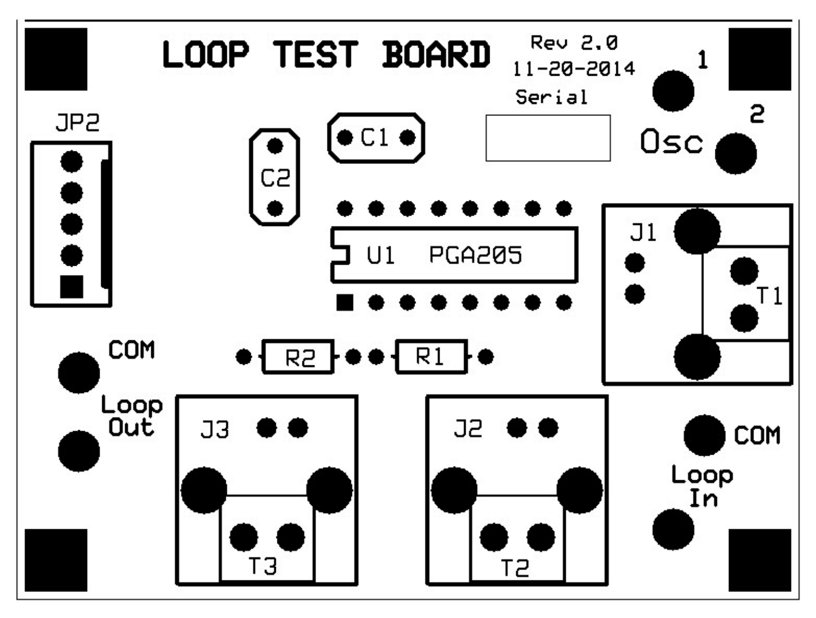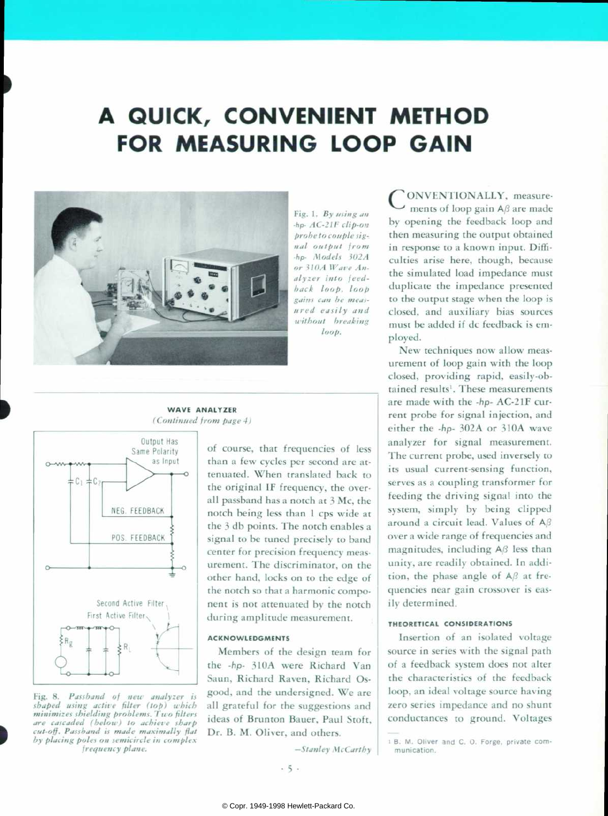# **A QUICK, CONVENIENT METHOD FOR MEASURING LOOP GAIN**



Fig. 1. By using an *hp- AC-21F clip-on probe to couple signal output from •hp- Models 302A or* 310.A Wave An*alyzer Into feed back loop, loop gains can be meas ured easily and without breaking*   $loop.$ 

**WAVE ANALYZER**  *(Continued from page 4)* 



,

*Fig. 8. Passband of new analyzer is shaped using active filter (top) u'hich minimizes shielding problems. Two filters are cascaded (below) to achieve sharp cut-off. Passband is made maximally flat by placing poles on semicircle in complex frequency plane.* 

of course, that frequencies of less than a few cycles per second are at tenuated. When translated back to the original IF frequency, the over all passband has a notch at 3 Me, the notch being less than 1 cps wide at the 3 db points. The notch enables a signal to be tuned precisely to band center for precision frequency meas urement. The discriminator, on the other hand, locks on to the edge of the notch so that a harmonic compo nent is not attenuated by the notch during amplitude measurement.

#### **ACKNOWLEDGMENTS**

Members of the design team for the -hp- 310A were Richard Van Saun, Richard Raven, Richard Osgood, and the undersigned. We are all grateful for the suggestions and ideas of Brunton Bauer, Paul Stoft, Dr. B. M. Oliver, and others.

*—Stanley McCarthy* 

ONVENTIONALLY, measurements of loop gain  $A\beta$  are made by opening the feedback loop and then measuring the output obtained in response to a known input. Diffi culties arise here, though, because the simulated load impedance must duplicate the impedance presented to the output stage when the loop is closed, and auxiliary bias sources must be added if dc feedback is em ployed.

New techniques now allow meas urement of loop gain with the loop closed, providing rapid, easily-ob tained results'. These measurements are made with the -hp- AC-21F cur rent probe for signal injection, and either the -hp- 302A or 310A wave analyzer for signal measurement. The current probe, used inversely to its usual current-sensing function, serves as a coupling transformer for feeding the driving signal into the system, simply by being clipped around a circuit lead. Values of Aß over a wide range of frequencies and magnitudes, including  $A\beta$  less than unity, are readily obtained. In addi tion, the phase angle of  $A\beta$  at frequencies near gain crossover is eas ily determined.

# **THEORETICAL CONSIDERATIONS**

Insertion of an isolated voltage source in series with the signal path of a feedback system does not alter the characteristics of the feedback loop, an ideal voltage source having zero series impedance and no shunt conductances to ground. Voltages

 $-5$ .

i B. M. Oliver and C. O. Forge, private com munication.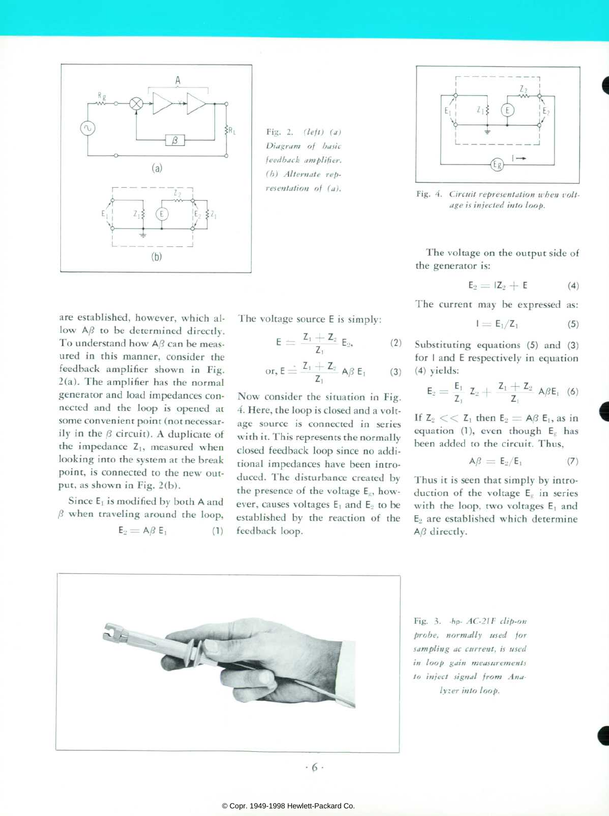

*Fig. 2. (left) (a) Diagram of basic feedback amplifier. (h) Alternate rep resentation of (a).* 

are established, however, which al low  $A\beta$  to be determined directly. To understand how  $A\beta$  can be measured in this manner, consider the feedback amplifier shown in Fig. 2(a). The amplifier has the normal generator and load impedances con nected and the loop is opened at some convenient point (not necessar ily in the  $\beta$  circuit). A duplicate of the impedance  $Z_1$ , measured when looking into the system at the break point, is connected to the new out put, as shown in Fig. 2(b).

Since E, is modified by both A and  $\beta$  when traveling around the loop,  $E_2 = AB E_1$  (1) The voltage source E is simply:

$$
E = \frac{Z_1 + Z_2}{Z_1} E_2, \qquad (2)
$$

$$
\text{or, } E \stackrel{\cdot}{=} \frac{Z_1 + Z_2}{Z_1} \text{ A}\beta \hspace{0.1cm} E_1 \hspace{1cm} (3)
$$

Now consider the situation in Fig. 4. Here, the loop is closed and a volt age source is connected in series with it. This represents the normally closed feedback loop since no addi tional impedances have been intro duced. The disturbance created by the presence of the voltage  $E_s$ , however, causes voltages  $E_1$  and  $E_2$  to be established by the reaction of the feedback loop.



Fig. 4. Circuit representation when volt*age is injected into loop.* 

The voltage on the output side of the generator is:

$$
E_2 = IZ_2 + E \tag{4}
$$

The current may be expressed as:

$$
I = E_1/Z_1 \tag{5}
$$

Substituting equations (5) and (3) for I and E respectively in equation (4) yields:

$$
E_2 = \frac{E_1}{Z_1} \ Z_2 + \frac{Z_1 + Z_2}{Z_1} \ A \beta E_1 \ (6)
$$

If  $Z_2 \ll Z_1$  then  $E_2 = AB E_1$ , as in equation (1), even though  $E_g$  has been added to the circuit. Thus,

$$
A\beta = E_2/E_1 \qquad \qquad (7)
$$

Thus it is seen that simply by intro duction of the voltage  $E<sub>g</sub>$  in series with the loop, two voltages  $E_1$  and  $E_2$  are established which determine  $A\beta$  directly.



*Fig. 3. -hp- AC-21F clip-on probe, normally used for sampling ac current, is used in loop gain measurements to inject signal from Analyzer into loop.*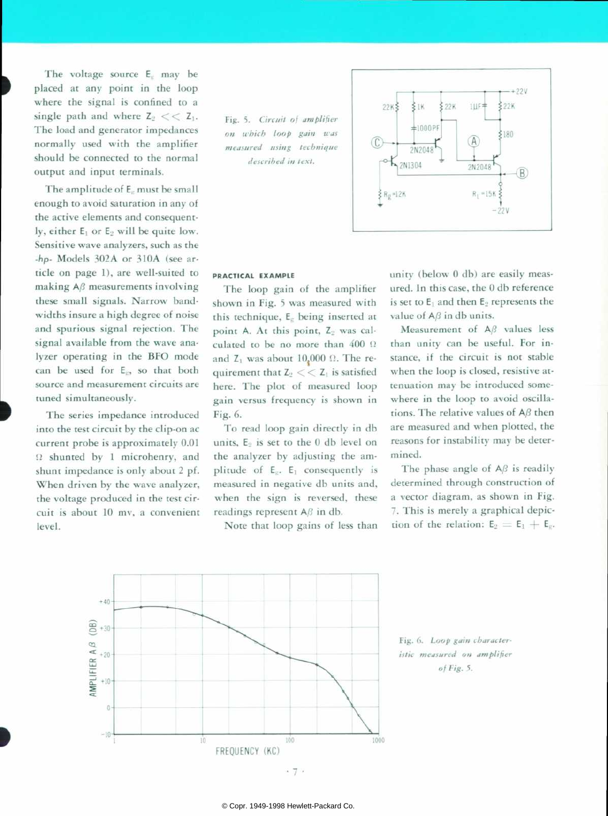The voltage source  $E<sub>c</sub>$  may be placed at any point in the loop where the signal is confined to a *single path and where*  $Z_2 \ll Z_1$ . The load and generator impedances normally used with the amplifier should be connected to the normal output and input terminals.

The amplitude of  $E<sub>r</sub>$  must be small enough to avoid saturation in any of the active elements and consequent ly, either  $E_1$  or  $E_2$  will be quite low. Sensitive wave analyzers, such as the -hp- Models 302A or 310A (see ar ticle on page 1), are well-suited to making  $A\beta$  measurements involving these small signals. Narrow bandwidths insure a high degree of noise and spurious signal rejection. The signal available from the wave ana lyzer operating in the BFO mode can be used for  $E_E$ , so that both source and measurement circuits are tuned simultaneously.

The series impedance introduced into the test circuit by the clip-on ac current probe is approximately 0.01  $\Omega$  shunted by 1 microhenry, and shunt impedance is only about 2 pf. When driven by the wave analyzer, the voltage produced in the test cir cuit is about 10 mv, a convenient level.

*Fig. 5. Circuit of amplifier on it'hich loop gain was measured using technique described in text.* 



# **PRACTICAL EXAMPLE**

The loop gain of the amplifier shown in Fig. 5 was measured with this technique,  $E<sub>z</sub>$  being inserted at point A. At this point,  $Z_2$  was calculated to be no more than  $400 \Omega$ and  $Z_1$  was about 10,000  $\Omega$ . The requirement that  $Z_2 \ll Z_1$  is satisfied here. The plot of measured loop gain versus frequency is shown in Fig. 6.

To read loop gain directly in db units, E<sub>2</sub> is set to the 0 db level on the analyzer by adjusting the am plitude of  $E_5$ .  $E_1$  consequently is measured in negative db units and, when the sign is reversed, these readings represent  $A\beta$  in db.

Note that loop gains of less than

unity (below 0 db) are easily meas ured. In this case, the 0 db reference is set to  $E_1$  and then  $E_2$  represents the value of  $A\beta$  in db units.

Measurement of A<sup>B</sup> values less than unity can be useful. For in stance, if the circuit is not stable when the loop is closed, resistive at tenuation may be introduced some where in the loop to avoid oscilla tions. The relative values of  $A\beta$  then are measured and when plotted, the reasons for instability may be deter mined.

The phase angle of  $A\beta$  is readily determined through construction of a vector diagram, as shown in Fig. 7. This is merely a graphical depic tion of the relation:  $E_2 = E_1 + E_c$ .



*Fig. 6. Loop gain character istic measured on amplifier*  of Fig. 5.